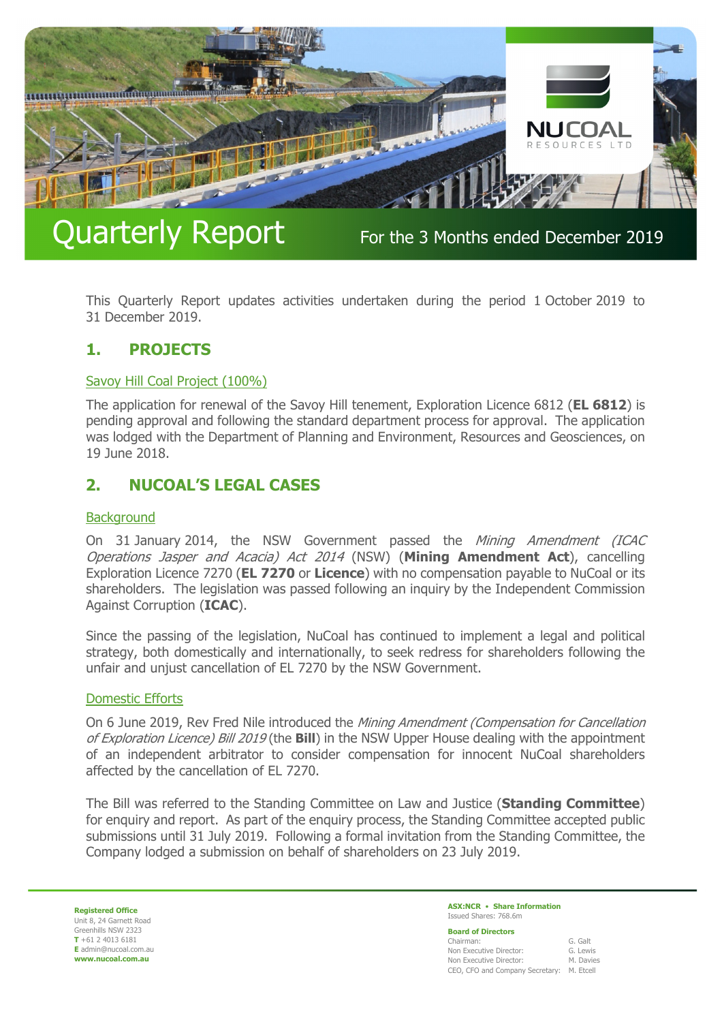

# Quarterly Report For the 3 Months ended December 2019

This Quarterly Report updates activities undertaken during the period 1 October 2019 to 31 December 2019.

#### **1. PROJECTS**

#### Savoy Hill Coal Project (100%)

The application for renewal of the Savoy Hill tenement, Exploration Licence 6812 (**EL 6812**) is pending approval and following the standard department process for approval. The application was lodged with the Department of Planning and Environment, Resources and Geosciences, on 19 June 2018.

### **2. NUCOAL'S LEGAL CASES**

#### **Background**

On 31 January 2014, the NSW Government passed the Mining Amendment (ICAC Operations Jasper and Acacia) Act 2014 (NSW) (**Mining Amendment Act**), cancelling Exploration Licence 7270 (**EL 7270** or **Licence**) with no compensation payable to NuCoal or its shareholders. The legislation was passed following an inquiry by the Independent Commission Against Corruption (**ICAC**).

Since the passing of the legislation, NuCoal has continued to implement a legal and political strategy, both domestically and internationally, to seek redress for shareholders following the unfair and unjust cancellation of EL 7270 by the NSW Government.

#### Domestic Efforts

On 6 June 2019, Rev Fred Nile introduced the Mining Amendment (Compensation for Cancellation of Exploration Licence) Bill 2019 (the **Bill**) in the NSW Upper House dealing with the appointment of an independent arbitrator to consider compensation for innocent NuCoal shareholders affected by the cancellation of EL 7270.

The Bill was referred to the Standing Committee on Law and Justice (**Standing Committee**) for enquiry and report. As part of the enquiry process, the Standing Committee accepted public submissions until 31 July 2019. Following a formal invitation from the Standing Committee, the Company lodged a submission on behalf of shareholders on 23 July 2019.

**Registered Office** Unit 8, 24 Garnett Road Greenhills NSW 2323 **T** +61 2 4013 6181 **E** admin@nucoal.com.au **www.nucoal.com.au**

**ASX:NCR** • **Share Information**  Issued Shares: 768.6m

**Board of Directors** 

| Chairman:                                 | G. Galt   |
|-------------------------------------------|-----------|
| Non Executive Director:                   | G. Lewis  |
| Non Executive Director:                   | M. Davies |
| CEO, CFO and Company Secretary: M. Etcell |           |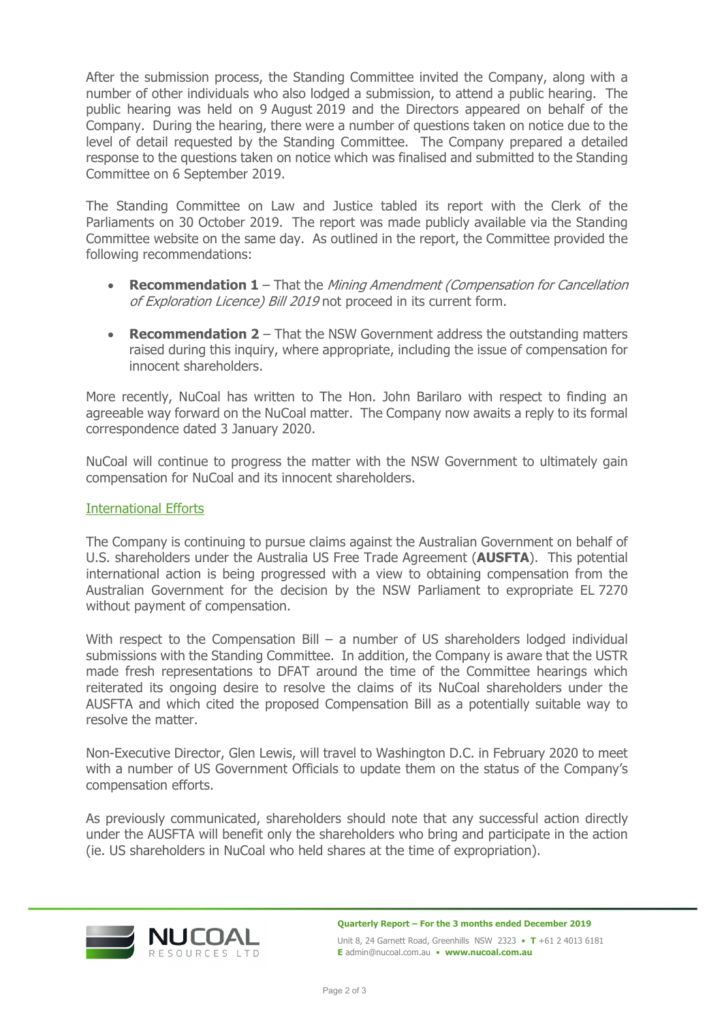After the submission process, the Standing Committee invited the Company, along with a number of other individuals who also lodged a submission, to attend a public hearing. The public hearing was held on 9 August 2019 and the Directors appeared on behalf of the Company. During the hearing, there were a number of questions taken on notice due to the level of detail requested by the Standing Committee. The Company prepared a detailed response to the questions taken on notice which was finalised and submitted to the Standing Committee on 6 September 2019.

The Standing Committee on Law and Justice tabled its report with the Clerk of the Parliaments on 30 October 2019. The report was made publicly available via the Standing Committee website on the same day. As outlined in the report, the Committee provided the following recommendations:

- **Recommendation 1** That the Mining Amendment (Compensation for Cancellation of Exploration Licence) Bill 2019 not proceed in its current form.
- **Recommendation 2** That the NSW Government address the outstanding matters raised during this inquiry, where appropriate, including the issue of compensation for innocent shareholders.

More recently, NuCoal has written to The Hon. John Barilaro with respect to finding an agreeable way forward on the NuCoal matter. The Company now awaits a reply to its formal correspondence dated 3 January 2020.

NuCoal will continue to progress the matter with the NSW Government to ultimately gain compensation for NuCoal and its innocent shareholders.

#### International Efforts

The Company is continuing to pursue claims against the Australian Government on behalf of U.S. shareholders under the Australia US Free Trade Agreement (**AUSFTA**). This potential international action is being progressed with a view to obtaining compensation from the Australian Government for the decision by the NSW Parliament to expropriate EL 7270 without payment of compensation.

With respect to the Compensation Bill – a number of US shareholders lodged individual submissions with the Standing Committee. In addition, the Company is aware that the USTR made fresh representations to DFAT around the time of the Committee hearings which reiterated its ongoing desire to resolve the claims of its NuCoal shareholders under the AUSFTA and which cited the proposed Compensation Bill as a potentially suitable way to resolve the matter.

Non-Executive Director, Glen Lewis, will travel to Washington D.C. in February 2020 to meet with a number of US Government Officials to update them on the status of the Company's compensation efforts.

As previously communicated, shareholders should note that any successful action directly under the AUSFTA will benefit only the shareholders who bring and participate in the action (ie. US shareholders in NuCoal who held shares at the time of expropriation).

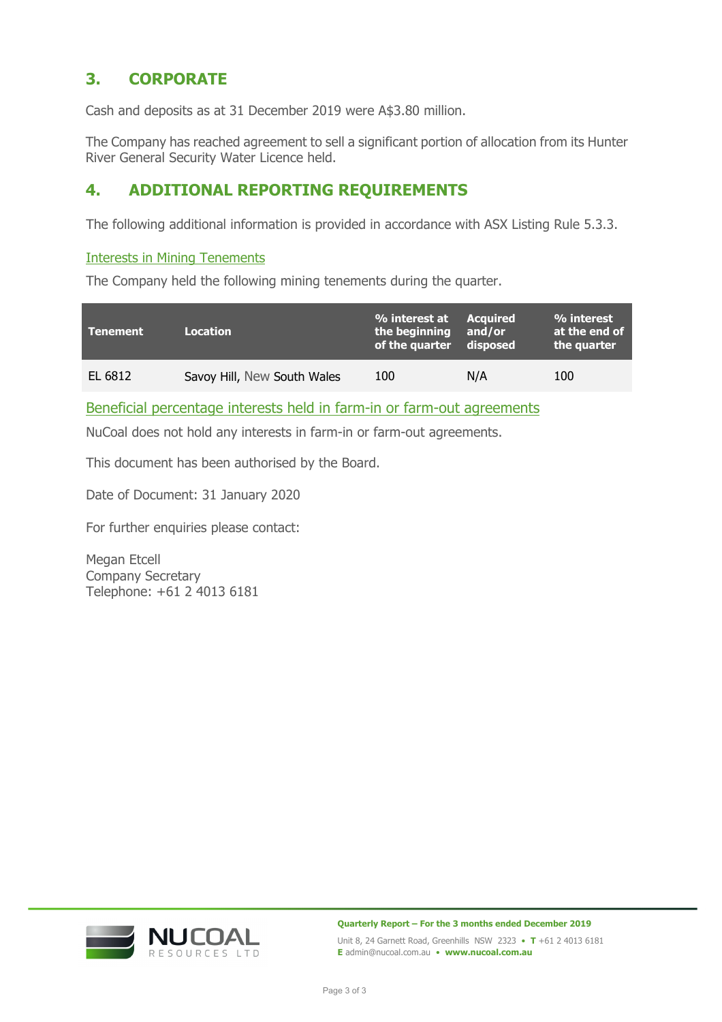### **3. CORPORATE**

Cash and deposits as at 31 December 2019 were A\$3.80 million.

The Company has reached agreement to sell a significant portion of allocation from its Hunter River General Security Water Licence held.

### **4. ADDITIONAL REPORTING REQUIREMENTS**

The following additional information is provided in accordance with ASX Listing Rule 5.3.3.

#### Interests in Mining Tenements

The Company held the following mining tenements during the quarter.

| \Tenement \ | <b>Location</b>             | % interest at Acquired<br>the beginning and/or<br>of the quarter disposed |     | % interest<br>at the end of<br>the quarter |
|-------------|-----------------------------|---------------------------------------------------------------------------|-----|--------------------------------------------|
| EL 6812     | Savoy Hill, New South Wales | 100                                                                       | N/A | 100                                        |

Beneficial percentage interests held in farm-in or farm-out agreements

NuCoal does not hold any interests in farm-in or farm-out agreements.

This document has been authorised by the Board.

Date of Document: 31 January 2020

For further enquiries please contact:

Megan Etcell Company Secretary Telephone: +61 2 4013 6181



**Quarterly Report – For the 3 months ended December 2019** 

Unit 8, 24 Garnett Road, Greenhills NSW 2323 • **T** +61 2 4013 6181 **E** admin@nucoal.com.au • **www.nucoal.com.au**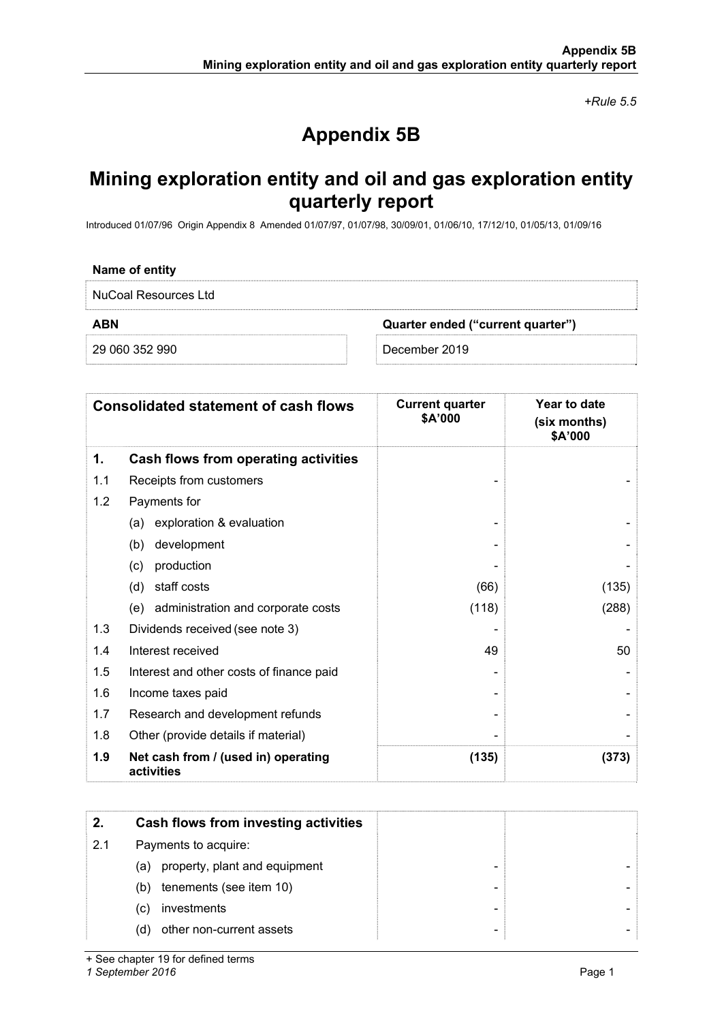*+Rule 5.5* 

## **Appendix 5B**

### **Mining exploration entity and oil and gas exploration entity quarterly report**

Introduced 01/07/96 Origin Appendix 8 Amended 01/07/97, 01/07/98, 30/09/01, 01/06/10, 17/12/10, 01/05/13, 01/09/16

#### **Name of entity**

NuCoal Resources Ltd

**ABN Quarter ended ("current quarter")** 

29 060 352 990 December 2019

|     | <b>Consolidated statement of cash flows</b>       | <b>Current quarter</b><br>\$A'000 | Year to date<br>(six months)<br>\$A'000 |
|-----|---------------------------------------------------|-----------------------------------|-----------------------------------------|
| 1.  | Cash flows from operating activities              |                                   |                                         |
| 1.1 | Receipts from customers                           |                                   |                                         |
| 1.2 | Payments for                                      |                                   |                                         |
|     | exploration & evaluation<br>(a)                   |                                   |                                         |
|     | development<br>(b)                                |                                   |                                         |
|     | production<br>(c)                                 |                                   |                                         |
|     | staff costs<br>(d)                                | (66)                              | (135)                                   |
|     | (e) administration and corporate costs            | (118)                             | (288)                                   |
| 1.3 | Dividends received (see note 3)                   |                                   |                                         |
| 1.4 | Interest received                                 | 49                                | 50                                      |
| 1.5 | Interest and other costs of finance paid          |                                   |                                         |
| 1.6 | Income taxes paid                                 |                                   |                                         |
| 1.7 | Research and development refunds                  |                                   |                                         |
| 1.8 | Other (provide details if material)               |                                   |                                         |
| 1.9 | Net cash from / (used in) operating<br>activities | (135)                             | (373)                                   |

| 2.  | Cash flows from investing activities |  |
|-----|--------------------------------------|--|
| 2.1 | Payments to acquire:                 |  |
|     | property, plant and equipment<br>(a) |  |
|     | tenements (see item 10)<br>(b)       |  |
|     | investments<br>(C)                   |  |
|     | other non-current assets<br>(d)      |  |

+ See chapter 19 for defined terms

*1 September 2016* Page 1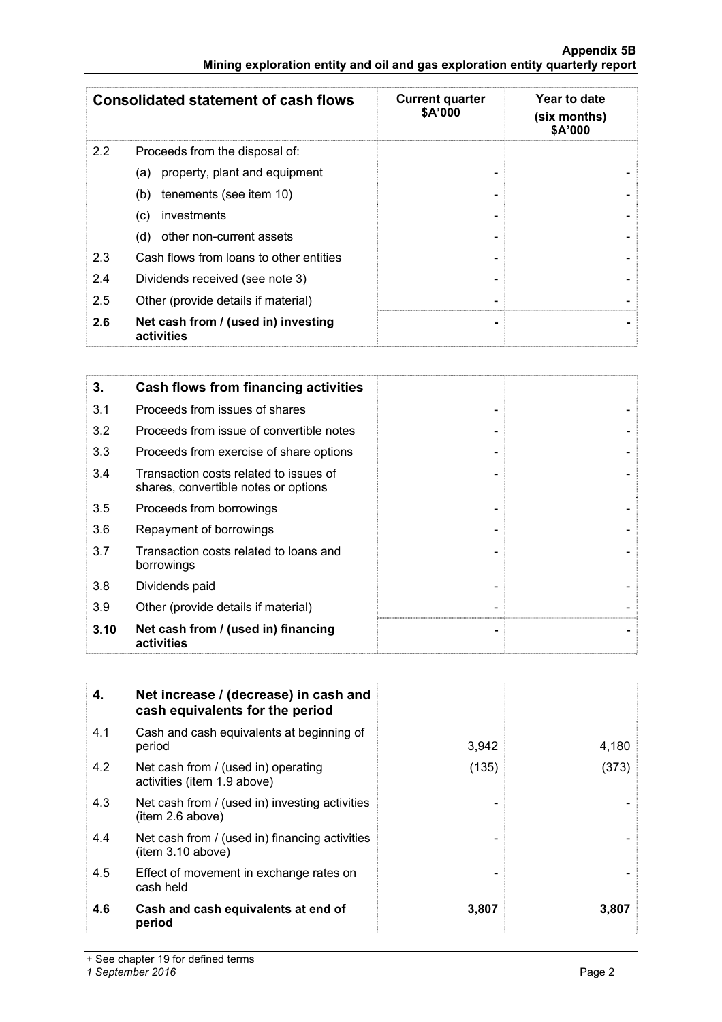#### **Appendix 5B Mining exploration entity and oil and gas exploration entity quarterly report**

|     | <b>Consolidated statement of cash flows</b>       | <b>Current quarter</b><br>\$A'000 | Year to date<br>(six months)<br>\$A'000 |
|-----|---------------------------------------------------|-----------------------------------|-----------------------------------------|
| 2.2 | Proceeds from the disposal of:                    |                                   |                                         |
|     | property, plant and equipment<br>(a)              |                                   |                                         |
|     | tenements (see item 10)<br>(b)                    |                                   |                                         |
|     | investments<br>(c)                                |                                   |                                         |
|     | other non-current assets<br>(d)                   |                                   |                                         |
| 2.3 | Cash flows from loans to other entities           |                                   |                                         |
| 2.4 | Dividends received (see note 3)                   |                                   |                                         |
| 2.5 | Other (provide details if material)               | -                                 |                                         |
| 2.6 | Net cash from / (used in) investing<br>activities |                                   |                                         |

| 3.   | Cash flows from financing activities                                           |  |
|------|--------------------------------------------------------------------------------|--|
| 3.1  | Proceeds from issues of shares                                                 |  |
| 3.2  | Proceeds from issue of convertible notes                                       |  |
| 3.3  | Proceeds from exercise of share options                                        |  |
| 3.4  | Transaction costs related to issues of<br>shares, convertible notes or options |  |
| 3.5  | Proceeds from borrowings                                                       |  |
| 3.6  | Repayment of borrowings                                                        |  |
| 3.7  | Transaction costs related to loans and<br>borrowings                           |  |
| 3.8  | Dividends paid                                                                 |  |
| 3.9  | Other (provide details if material)                                            |  |
| 3.10 | Net cash from / (used in) financing<br>activities                              |  |

| 4.  | Net increase / (decrease) in cash and<br>cash equivalents for the period |       |       |
|-----|--------------------------------------------------------------------------|-------|-------|
| 4.1 | Cash and cash equivalents at beginning of<br>period                      | 3,942 | 4,180 |
| 4.2 | Net cash from / (used in) operating<br>activities (item 1.9 above)       | (135) | (373) |
| 4.3 | Net cash from / (used in) investing activities<br>(item 2.6 above)       |       |       |
| 4.4 | Net cash from / (used in) financing activities<br>item 3.10 above)       |       |       |
| 4.5 | Effect of movement in exchange rates on<br>cash held                     |       |       |
| 4.6 | Cash and cash equivalents at end of<br>period                            | 3,807 | 3,807 |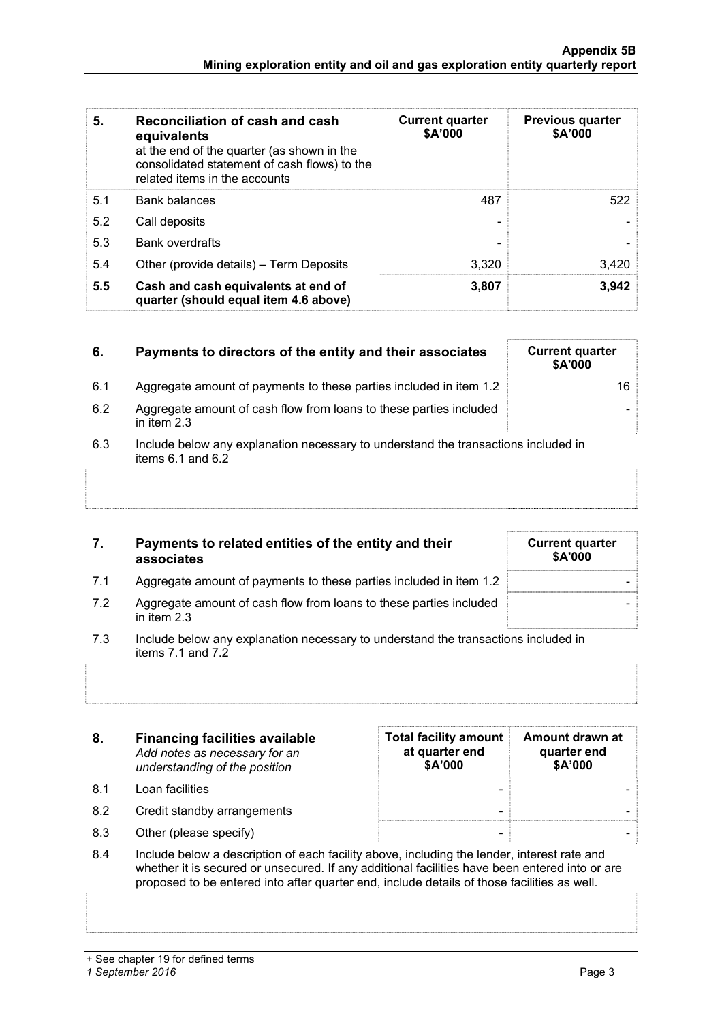| 5.  | Reconciliation of cash and cash<br>equivalents<br>at the end of the quarter (as shown in the<br>consolidated statement of cash flows) to the<br>related items in the accounts | <b>Current quarter</b><br>\$A'000 | <b>Previous quarter</b><br>\$A'000 |
|-----|-------------------------------------------------------------------------------------------------------------------------------------------------------------------------------|-----------------------------------|------------------------------------|
| 5.1 | <b>Bank balances</b>                                                                                                                                                          | 487                               | 522                                |
| 5.2 | Call deposits                                                                                                                                                                 |                                   |                                    |
| 5.3 | Bank overdrafts                                                                                                                                                               |                                   |                                    |
| 5.4 | Other (provide details) – Term Deposits                                                                                                                                       | 3.320                             | 3,420                              |
| 5.5 | Cash and cash equivalents at end of<br>quarter (should equal item 4.6 above)                                                                                                  | 3,807                             | 3,942                              |

| 6.  | Payments to directors of the entity and their associates                            | <b>Current quarter</b><br><b>\$A'000</b> |
|-----|-------------------------------------------------------------------------------------|------------------------------------------|
| 6.1 | Aggregate amount of payments to these parties included in item 1.2                  | 16                                       |
| 6.2 | Aggregate amount of cash flow from loans to these parties included<br>in item $2.3$ |                                          |

6.3 Include below any explanation necessary to understand the transactions included in items  $6.1$  and  $6.2$ 

| 7. | Payments to related entities of the entity and their |
|----|------------------------------------------------------|
|    | associates                                           |

| <b>Current quarter</b><br>\$A'000 |  |
|-----------------------------------|--|
|                                   |  |
|                                   |  |
|                                   |  |
|                                   |  |
|                                   |  |
|                                   |  |
|                                   |  |
|                                   |  |
|                                   |  |

- 7.1 Aggregate amount of payments to these parties included in item 1.2
- 7.2 Aggregate amount of cash flow from loans to these parties included in item 2.3
- 7.3 Include below any explanation necessary to understand the transactions included in items  $7.1$  and  $7.2$

| 8.  | <b>Financing facilities available</b><br>Add notes as necessary for an<br>understanding of the position | <b>Total facility amount</b><br>at quarter end<br>\$A'000 | Amount drawn at<br>quarter end<br>\$A'000 |
|-----|---------------------------------------------------------------------------------------------------------|-----------------------------------------------------------|-------------------------------------------|
| 81  | Loan facilities                                                                                         | -                                                         |                                           |
| 8.2 | Credit standby arrangements                                                                             |                                                           |                                           |

- 8.3 Other (please specify)  $\qquad \qquad$   $\qquad \qquad$
- 8.4 Include below a description of each facility above, including the lender, interest rate and whether it is secured or unsecured. If any additional facilities have been entered into or are proposed to be entered into after quarter end, include details of those facilities as well.